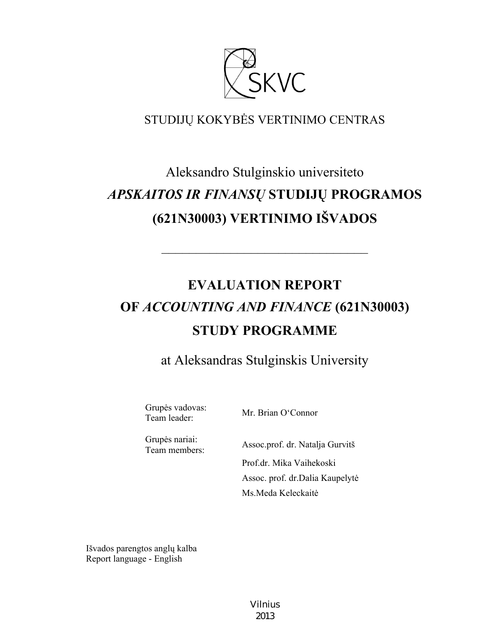

# STUDIJŲ KOKYBĖS VERTINIMO CENTRAS

# Aleksandro Stulginskio universiteto *APSKAITOS IR FINANSŲ* **STUDIJŲ PROGRAMOS (621N30003) VERTINIMO IŠVADOS**

# **EVALUATION REPORT OF** *ACCOUNTING AND FINANCE* **(621N30003) STUDY PROGRAMME**

––––––––––––––––––––––––––––––

at Aleksandras Stulginskis University

Grupės vadovas:

Team leader: Mr. Brian O'Connor

Grupės nariai:

Team members: Assoc.prof. dr. Natalja Gurvitš Prof.dr. Mika Vaihekoski Assoc. prof. dr.Dalia Kaupelytė Ms.Meda Keleckaitė

Išvados parengtos anglų kalba Report language - English

> Vilnius 2013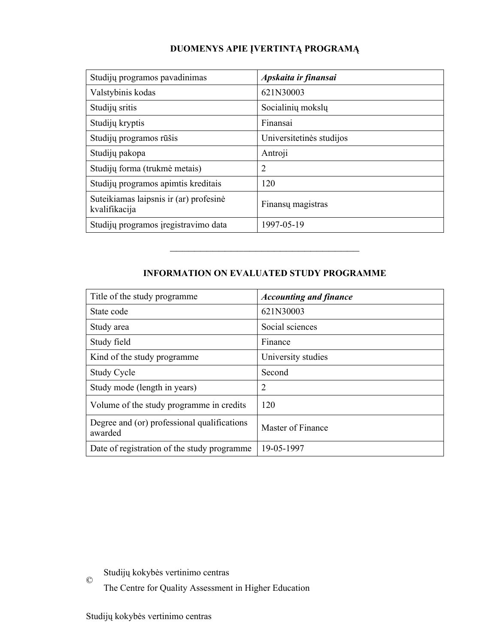# **DUOMENYS APIE ĮVERTINTĄ PROGRAMĄ**

| Studijų programos pavadinimas                           | Apskaita ir finansai     |
|---------------------------------------------------------|--------------------------|
| Valstybinis kodas                                       | 621N30003                |
| Studijų sritis                                          | Socialinių mokslų        |
| Studijų kryptis                                         | Finansai                 |
| Studijų programos rūšis                                 | Universitetinės studijos |
| Studijų pakopa                                          | Antroji                  |
| Studijų forma (trukmė metais)                           | 2                        |
| Studijų programos apimtis kreditais                     | 120                      |
| Suteikiamas laipsnis ir (ar) profesinė<br>kvalifikacija | Finansu magistras        |
| Studijų programos įregistravimo data                    | 1997-05-19               |

# **INFORMATION ON EVALUATED STUDY PROGRAMME**

–––––––––––––––––––––––––––––––

| Title of the study programme.                          | <b>Accounting and finance</b> |
|--------------------------------------------------------|-------------------------------|
| State code                                             | 621N30003                     |
| Study area                                             | Social sciences               |
| Study field                                            | Finance                       |
| Kind of the study programme                            | University studies            |
| <b>Study Cycle</b>                                     | Second                        |
| Study mode (length in years)                           | $\overline{2}$                |
| Volume of the study programme in credits               | 120                           |
| Degree and (or) professional qualifications<br>awarded | Master of Finance             |
| Date of registration of the study programme            | 19-05-1997                    |

© Studijų kokybės vertinimo centras

The Centre for Quality Assessment in Higher Education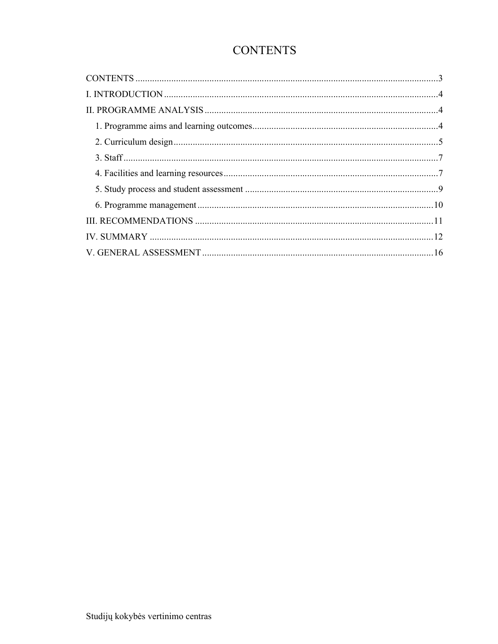# **CONTENTS**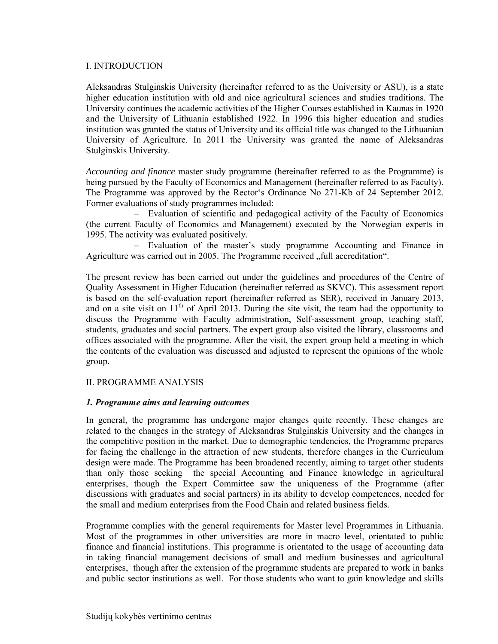#### I. INTRODUCTION

Aleksandras Stulginskis University (hereinafter referred to as the University or ASU), is a state higher education institution with old and nice agricultural sciences and studies traditions. The University continues the academic activities of the Higher Courses established in Kaunas in 1920 and the University of Lithuania established 1922. In 1996 this higher education and studies institution was granted the status of University and its official title was changed to the Lithuanian University of Agriculture. In 2011 the University was granted the name of Aleksandras Stulginskis University.

*Accounting and finance* master study programme (hereinafter referred to as the Programme) is being pursued by the Faculty of Economics and Management (hereinafter referred to as Faculty). The Programme was approved by the Rector's Ordinance No 271-Kb of 24 September 2012. Former evaluations of study programmes included:

– Evaluation of scientific and pedagogical activity of the Faculty of Economics (the current Faculty of Economics and Management) executed by the Norwegian experts in 1995. The activity was evaluated positively.

– Evaluation of the master's study programme Accounting and Finance in Agriculture was carried out in 2005. The Programme received "full accreditation".

The present review has been carried out under the guidelines and procedures of the Centre of Quality Assessment in Higher Education (hereinafter referred as SKVC). This assessment report is based on the self-evaluation report (hereinafter referred as SER), received in January 2013, and on a site visit on  $11<sup>th</sup>$  of April 2013. During the site visit, the team had the opportunity to discuss the Programme with Faculty administration, Self-assessment group, teaching staff, students, graduates and social partners. The expert group also visited the library, classrooms and offices associated with the programme. After the visit, the expert group held a meeting in which the contents of the evaluation was discussed and adjusted to represent the opinions of the whole group.

# II. PROGRAMME ANALYSIS

#### *1. Programme aims and learning outcomes*

In general, the programme has undergone major changes quite recently. These changes are related to the changes in the strategy of Aleksandras Stulginskis University and the changes in the competitive position in the market. Due to demographic tendencies, the Programme prepares for facing the challenge in the attraction of new students, therefore changes in the Curriculum design were made. The Programme has been broadened recently, aiming to target other students than only those seeking the special Accounting and Finance knowledge in agricultural enterprises, though the Expert Committee saw the uniqueness of the Programme (after discussions with graduates and social partners) in its ability to develop competences, needed for the small and medium enterprises from the Food Chain and related business fields.

Programme complies with the general requirements for Master level Programmes in Lithuania. Most of the programmes in other universities are more in macro level, orientated to public finance and financial institutions. This programme is orientated to the usage of accounting data in taking financial management decisions of small and medium businesses and agricultural enterprises, though after the extension of the programme students are prepared to work in banks and public sector institutions as well. For those students who want to gain knowledge and skills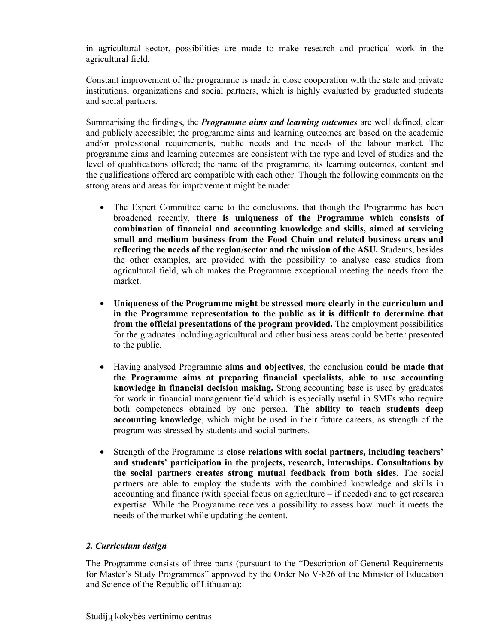in agricultural sector, possibilities are made to make research and practical work in the agricultural field.

Constant improvement of the programme is made in close cooperation with the state and private institutions, organizations and social partners, which is highly evaluated by graduated students and social partners.

Summarising the findings, the *Programme aims and learning outcomes* are well defined, clear and publicly accessible; the programme aims and learning outcomes are based on the academic and/or professional requirements, public needs and the needs of the labour market. The programme aims and learning outcomes are consistent with the type and level of studies and the level of qualifications offered; the name of the programme, its learning outcomes, content and the qualifications offered are compatible with each other. Though the following comments on the strong areas and areas for improvement might be made:

- The Expert Committee came to the conclusions, that though the Programme has been broadened recently, **there is uniqueness of the Programme which consists of combination of financial and accounting knowledge and skills, aimed at servicing small and medium business from the Food Chain and related business areas and reflecting the needs of the region/sector and the mission of the ASU.** Students, besides the other examples, are provided with the possibility to analyse case studies from agricultural field, which makes the Programme exceptional meeting the needs from the market.
- **Uniqueness of the Programme might be stressed more clearly in the curriculum and in the Programme representation to the public as it is difficult to determine that from the official presentations of the program provided.** The employment possibilities for the graduates including agricultural and other business areas could be better presented to the public.
- Having analysed Programme **aims and objectives**, the conclusion **could be made that the Programme aims at preparing financial specialists, able to use accounting knowledge in financial decision making.** Strong accounting base is used by graduates for work in financial management field which is especially useful in SMEs who require both competences obtained by one person. **The ability to teach students deep accounting knowledge**, which might be used in their future careers, as strength of the program was stressed by students and social partners.
- Strength of the Programme is **close relations with social partners, including teachers' and students' participation in the projects, research, internships. Consultations by the social partners creates strong mutual feedback from both sides**. The social partners are able to employ the students with the combined knowledge and skills in accounting and finance (with special focus on agriculture – if needed) and to get research expertise. While the Programme receives a possibility to assess how much it meets the needs of the market while updating the content.

# *2. Curriculum design*

The Programme consists of three parts (pursuant to the "Description of General Requirements for Master's Study Programmes" approved by the Order No V-826 of the Minister of Education and Science of the Republic of Lithuania):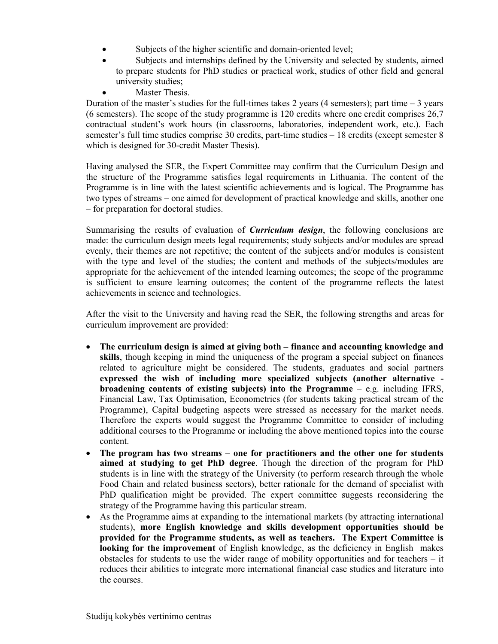- Subjects of the higher scientific and domain-oriented level;
- Subjects and internships defined by the University and selected by students, aimed to prepare students for PhD studies or practical work, studies of other field and general university studies;
	- Master Thesis.

Duration of the master's studies for the full-times takes 2 years (4 semesters); part time  $-3$  years (6 semesters). The scope of the study programme is 120 credits where one credit comprises 26,7 contractual student's work hours (in classrooms, laboratories, independent work, etc.). Each semester's full time studies comprise 30 credits, part-time studies – 18 credits (except semester 8 which is designed for 30-credit Master Thesis).

Having analysed the SER, the Expert Committee may confirm that the Curriculum Design and the structure of the Programme satisfies legal requirements in Lithuania. The content of the Programme is in line with the latest scientific achievements and is logical. The Programme has two types of streams – one aimed for development of practical knowledge and skills, another one – for preparation for doctoral studies.

Summarising the results of evaluation of *Curriculum design*, the following conclusions are made: the curriculum design meets legal requirements; study subjects and/or modules are spread evenly, their themes are not repetitive; the content of the subjects and/or modules is consistent with the type and level of the studies; the content and methods of the subjects/modules are appropriate for the achievement of the intended learning outcomes; the scope of the programme is sufficient to ensure learning outcomes; the content of the programme reflects the latest achievements in science and technologies.

After the visit to the University and having read the SER, the following strengths and areas for curriculum improvement are provided:

- **The curriculum design is aimed at giving both finance and accounting knowledge and skills**, though keeping in mind the uniqueness of the program a special subject on finances related to agriculture might be considered. The students, graduates and social partners **expressed the wish of including more specialized subjects (another alternative broadening contents of existing subjects) into the Programme** – e.g. including IFRS, Financial Law, Tax Optimisation, Econometrics (for students taking practical stream of the Programme), Capital budgeting aspects were stressed as necessary for the market needs. Therefore the experts would suggest the Programme Committee to consider of including additional courses to the Programme or including the above mentioned topics into the course content.
- **The program has two streams one for practitioners and the other one for students aimed at studying to get PhD degree**. Though the direction of the program for PhD students is in line with the strategy of the University (to perform research through the whole Food Chain and related business sectors), better rationale for the demand of specialist with PhD qualification might be provided. The expert committee suggests reconsidering the strategy of the Programme having this particular stream.
- As the Programme aims at expanding to the international markets (by attracting international students), **more English knowledge and skills development opportunities should be provided for the Programme students, as well as teachers. The Expert Committee is looking for the improvement** of English knowledge, as the deficiency in English makes obstacles for students to use the wider range of mobility opportunities and for teachers – it reduces their abilities to integrate more international financial case studies and literature into the courses.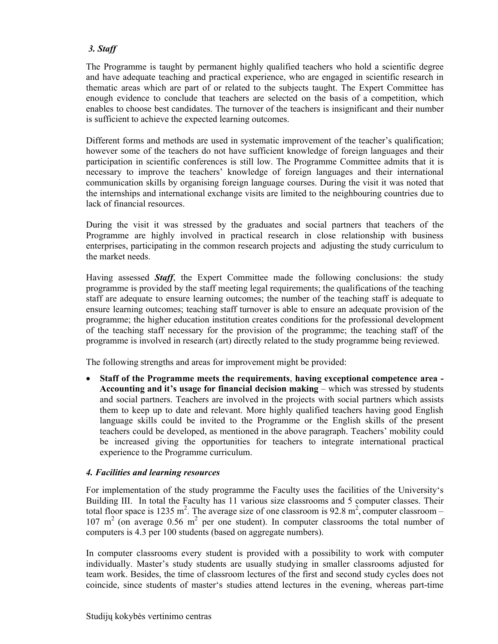# *3. Staff*

The Programme is taught by permanent highly qualified teachers who hold a scientific degree and have adequate teaching and practical experience, who are engaged in scientific research in thematic areas which are part of or related to the subjects taught. The Expert Committee has enough evidence to conclude that teachers are selected on the basis of a competition, which enables to choose best candidates. The turnover of the teachers is insignificant and their number is sufficient to achieve the expected learning outcomes.

Different forms and methods are used in systematic improvement of the teacher's qualification; however some of the teachers do not have sufficient knowledge of foreign languages and their participation in scientific conferences is still low. The Programme Committee admits that it is necessary to improve the teachers' knowledge of foreign languages and their international communication skills by organising foreign language courses. During the visit it was noted that the internships and international exchange visits are limited to the neighbouring countries due to lack of financial resources.

During the visit it was stressed by the graduates and social partners that teachers of the Programme are highly involved in practical research in close relationship with business enterprises, participating in the common research projects and adjusting the study curriculum to the market needs.

Having assessed *Staff*, the Expert Committee made the following conclusions: the study programme is provided by the staff meeting legal requirements; the qualifications of the teaching staff are adequate to ensure learning outcomes; the number of the teaching staff is adequate to ensure learning outcomes; teaching staff turnover is able to ensure an adequate provision of the programme; the higher education institution creates conditions for the professional development of the teaching staff necessary for the provision of the programme; the teaching staff of the programme is involved in research (art) directly related to the study programme being reviewed.

The following strengths and areas for improvement might be provided:

 **Staff of the Programme meets the requirements**, **having exceptional competence area - Accounting and it's usage for financial decision making** – which was stressed by students and social partners. Teachers are involved in the projects with social partners which assists them to keep up to date and relevant. More highly qualified teachers having good English language skills could be invited to the Programme or the English skills of the present teachers could be developed, as mentioned in the above paragraph. Teachers' mobility could be increased giving the opportunities for teachers to integrate international practical experience to the Programme curriculum.

# *4. Facilities and learning resources*

For implementation of the study programme the Faculty uses the facilities of the University's Building III. In total the Faculty has 11 various size classrooms and 5 computer classes. Their total floor space is 1235 m<sup>2</sup>. The average size of one classroom is 92.8 m<sup>2</sup>, computer classroom –  $107 \text{ m}^2$  (on average 0.56 m<sup>2</sup> per one student). In computer classrooms the total number of computers is 4.3 per 100 students (based on aggregate numbers).

In computer classrooms every student is provided with a possibility to work with computer individually. Master's study students are usually studying in smaller classrooms adjusted for team work. Besides, the time of classroom lectures of the first and second study cycles does not coincide, since students of master's studies attend lectures in the evening, whereas part-time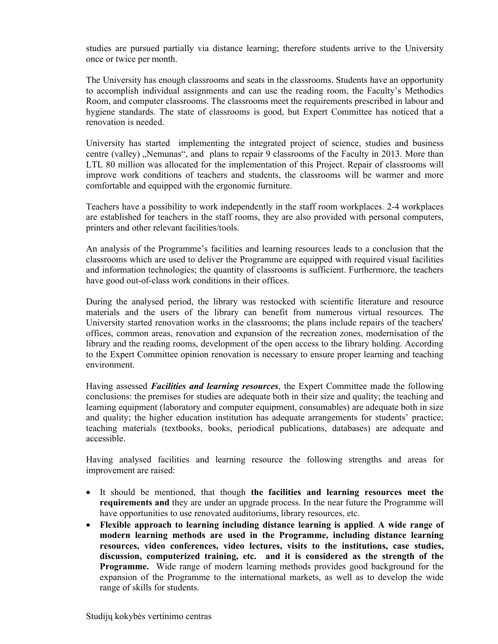studies are pursued partially via distance learning; therefore students arrive to the University once or twice per month.

The University has enough classrooms and seats in the classrooms. Students have an opportunity to accomplish individual assignments and can use the reading room, the Faculty's Methodics Room, and computer classrooms. The classrooms meet the requirements prescribed in labour and hygiene standards. The state of classrooms is good, but Expert Committee has noticed that a renovation is needed.

University has started implementing the integrated project of science, studies and business centre (valley) "Nemunas", and plans to repair 9 classrooms of the Faculty in 2013. More than LTL 80 million was allocated for the implementation of this Project. Repair of classrooms will improve work conditions of teachers and students, the classrooms will be warmer and more comfortable and equipped with the ergonomic furniture.

Teachers have a possibility to work independently in the staff room workplaces. 2-4 workplaces are established for teachers in the staff rooms, they are also provided with personal computers, printers and other relevant facilities/tools.

An analysis of the Programme's facilities and learning resources leads to a conclusion that the classrooms which are used to deliver the Programme are equipped with required visual facilities and information technologies; the quantity of classrooms is sufficient. Furthermore, the teachers have good out-of-class work conditions in their offices.

During the analysed period, the library was restocked with scientific literature and resource materials and the users of the library can benefit from numerous virtual resources. The University started renovation works in the classrooms; the plans include repairs of the teachers' offices, common areas, renovation and expansion of the recreation zones, modernisation of the library and the reading rooms, development of the open access to the library holding. According to the Expert Committee opinion renovation is necessary to ensure proper learning and teaching environment.

Having assessed *Facilities and learning resources*, the Expert Committee made the following conclusions: the premises for studies are adequate both in their size and quality; the teaching and learning equipment (laboratory and computer equipment, consumables) are adequate both in size and quality; the higher education institution has adequate arrangements for students' practice; teaching materials (textbooks, books, periodical publications, databases) are adequate and accessible.

Having analysed facilities and learning resource the following strengths and areas for improvement are raised:

- It should be mentioned, that though **the facilities and learning resources meet the requirements and** they are under an upgrade process. In the near future the Programme will have opportunities to use renovated auditoriums, library resources, etc.
- **Flexible approach to learning including distance learning is applied**. **A wide range of modern learning methods are used in the Programme, including distance learning resources, video conferences, video lectures, visits to the institutions, case studies, discussion, computerized training, etc. and it is considered as the strength of the Programme.** Wide range of modern learning methods provides good background for the expansion of the Programme to the international markets, as well as to develop the wide range of skills for students.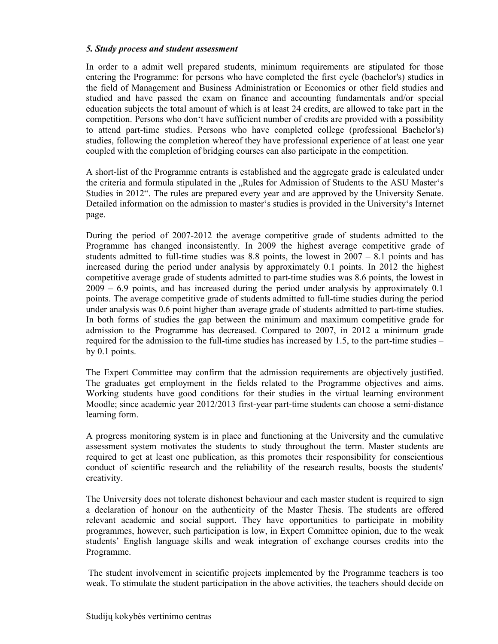#### *5. Study process and student assessment*

In order to a admit well prepared students, minimum requirements are stipulated for those entering the Programme: for persons who have completed the first cycle (bachelor's) studies in the field of Management and Business Administration or Economics or other field studies and studied and have passed the exam on finance and accounting fundamentals and/or special education subjects the total amount of which is at least 24 credits, are allowed to take part in the competition. Persons who don't have sufficient number of credits are provided with a possibility to attend part-time studies. Persons who have completed college (professional Bachelor's) studies, following the completion whereof they have professional experience of at least one year coupled with the completion of bridging courses can also participate in the competition.

A short-list of the Programme entrants is established and the aggregate grade is calculated under the criteria and formula stipulated in the "Rules for Admission of Students to the ASU Master's Studies in 2012". The rules are prepared every year and are approved by the University Senate. Detailed information on the admission to master's studies is provided in the University's Internet page.

During the period of 2007-2012 the average competitive grade of students admitted to the Programme has changed inconsistently. In 2009 the highest average competitive grade of students admitted to full-time studies was 8.8 points, the lowest in  $2007 - 8.1$  points and has increased during the period under analysis by approximately 0.1 points. In 2012 the highest competitive average grade of students admitted to part-time studies was 8.6 points, the lowest in 2009 – 6.9 points, and has increased during the period under analysis by approximately 0.1 points. The average competitive grade of students admitted to full-time studies during the period under analysis was 0.6 point higher than average grade of students admitted to part-time studies. In both forms of studies the gap between the minimum and maximum competitive grade for admission to the Programme has decreased. Compared to 2007, in 2012 a minimum grade required for the admission to the full-time studies has increased by 1.5, to the part-time studies – by 0.1 points.

The Expert Committee may confirm that the admission requirements are objectively justified. The graduates get employment in the fields related to the Programme objectives and aims. Working students have good conditions for their studies in the virtual learning environment Moodle; since academic year 2012/2013 first-year part-time students can choose a semi-distance learning form.

A progress monitoring system is in place and functioning at the University and the cumulative assessment system motivates the students to study throughout the term. Master students are required to get at least one publication, as this promotes their responsibility for conscientious conduct of scientific research and the reliability of the research results, boosts the students' creativity.

The University does not tolerate dishonest behaviour and each master student is required to sign a declaration of honour on the authenticity of the Master Thesis. The students are offered relevant academic and social support. They have opportunities to participate in mobility programmes, however, such participation is low, in Expert Committee opinion, due to the weak students' English language skills and weak integration of exchange courses credits into the Programme.

The student involvement in scientific projects implemented by the Programme teachers is too weak. To stimulate the student participation in the above activities, the teachers should decide on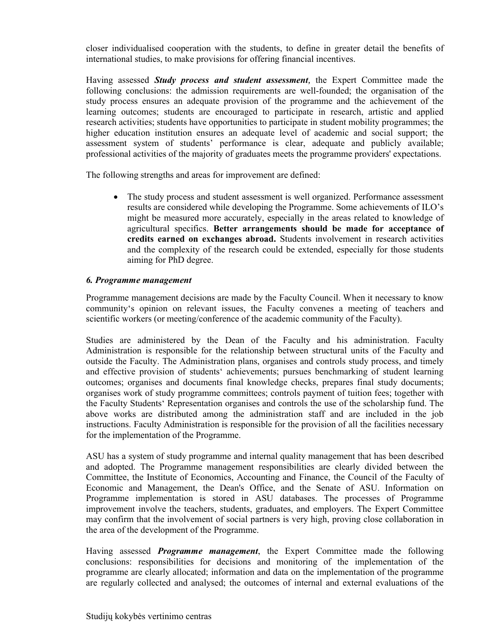closer individualised cooperation with the students, to define in greater detail the benefits of international studies, to make provisions for offering financial incentives.

Having assessed *Study process and student assessment,* the Expert Committee made the following conclusions: the admission requirements are well-founded; the organisation of the study process ensures an adequate provision of the programme and the achievement of the learning outcomes; students are encouraged to participate in research, artistic and applied research activities; students have opportunities to participate in student mobility programmes; the higher education institution ensures an adequate level of academic and social support; the assessment system of students' performance is clear, adequate and publicly available; professional activities of the majority of graduates meets the programme providers' expectations.

The following strengths and areas for improvement are defined:

 The study process and student assessment is well organized. Performance assessment results are considered while developing the Programme. Some achievements of ILO's might be measured more accurately, especially in the areas related to knowledge of agricultural specifics. **Better arrangements should be made for acceptance of credits earned on exchanges abroad.** Students involvement in research activities and the complexity of the research could be extended, especially for those students aiming for PhD degree.

### *6. Programme management*

Programme management decisions are made by the Faculty Council. When it necessary to know community's opinion on relevant issues, the Faculty convenes a meeting of teachers and scientific workers (or meeting/conference of the academic community of the Faculty).

Studies are administered by the Dean of the Faculty and his administration. Faculty Administration is responsible for the relationship between structural units of the Faculty and outside the Faculty. The Administration plans, organises and controls study process, and timely and effective provision of students' achievements; pursues benchmarking of student learning outcomes; organises and documents final knowledge checks, prepares final study documents; organises work of study programme committees; controls payment of tuition fees; together with the Faculty Students' Representation organises and controls the use of the scholarship fund. The above works are distributed among the administration staff and are included in the job instructions. Faculty Administration is responsible for the provision of all the facilities necessary for the implementation of the Programme.

ASU has a system of study programme and internal quality management that has been described and adopted. The Programme management responsibilities are clearly divided between the Committee, the Institute of Economics, Accounting and Finance, the Council of the Faculty of Economic and Management, the Dean's Office, and the Senate of ASU. Information on Programme implementation is stored in ASU databases. The processes of Programme improvement involve the teachers, students, graduates, and employers. The Expert Committee may confirm that the involvement of social partners is very high, proving close collaboration in the area of the development of the Programme.

Having assessed *Programme management*, the Expert Committee made the following conclusions: responsibilities for decisions and monitoring of the implementation of the programme are clearly allocated; information and data on the implementation of the programme are regularly collected and analysed; the outcomes of internal and external evaluations of the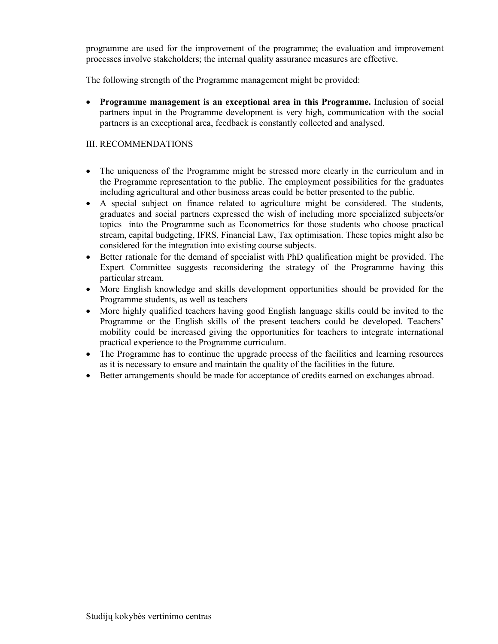programme are used for the improvement of the programme; the evaluation and improvement processes involve stakeholders; the internal quality assurance measures are effective.

The following strength of the Programme management might be provided:

 **Programme management is an exceptional area in this Programme.** Inclusion of social partners input in the Programme development is very high, communication with the social partners is an exceptional area, feedback is constantly collected and analysed.

# III. RECOMMENDATIONS

- The uniqueness of the Programme might be stressed more clearly in the curriculum and in the Programme representation to the public. The employment possibilities for the graduates including agricultural and other business areas could be better presented to the public.
- A special subject on finance related to agriculture might be considered. The students, graduates and social partners expressed the wish of including more specialized subjects/or topics into the Programme such as Econometrics for those students who choose practical stream, capital budgeting, IFRS, Financial Law, Tax optimisation. These topics might also be considered for the integration into existing course subjects.
- Better rationale for the demand of specialist with PhD qualification might be provided. The Expert Committee suggests reconsidering the strategy of the Programme having this particular stream.
- More English knowledge and skills development opportunities should be provided for the Programme students, as well as teachers
- More highly qualified teachers having good English language skills could be invited to the Programme or the English skills of the present teachers could be developed. Teachers' mobility could be increased giving the opportunities for teachers to integrate international practical experience to the Programme curriculum.
- The Programme has to continue the upgrade process of the facilities and learning resources as it is necessary to ensure and maintain the quality of the facilities in the future.
- Better arrangements should be made for acceptance of credits earned on exchanges abroad.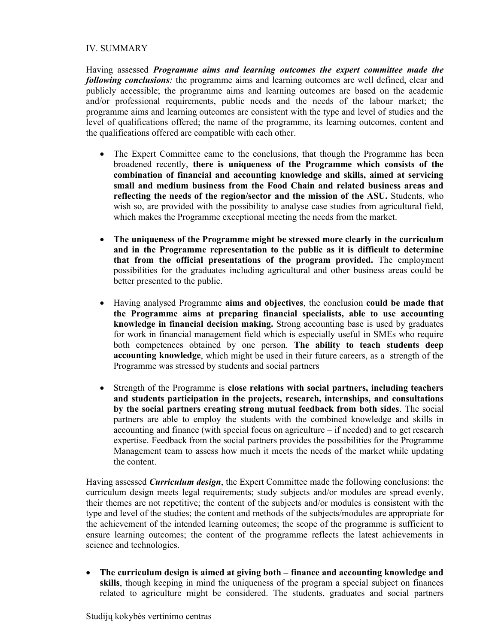### IV. SUMMARY

Having assessed *Programme aims and learning outcomes the expert committee made the following conclusions:* the programme aims and learning outcomes are well defined, clear and publicly accessible; the programme aims and learning outcomes are based on the academic and/or professional requirements, public needs and the needs of the labour market; the programme aims and learning outcomes are consistent with the type and level of studies and the level of qualifications offered; the name of the programme, its learning outcomes, content and the qualifications offered are compatible with each other.

- The Expert Committee came to the conclusions, that though the Programme has been broadened recently, **there is uniqueness of the Programme which consists of the combination of financial and accounting knowledge and skills, aimed at servicing small and medium business from the Food Chain and related business areas and reflecting the needs of the region/sector and the mission of the ASU.** Students, who wish so, are provided with the possibility to analyse case studies from agricultural field, which makes the Programme exceptional meeting the needs from the market.
- **The uniqueness of the Programme might be stressed more clearly in the curriculum and in the Programme representation to the public as it is difficult to determine that from the official presentations of the program provided.** The employment possibilities for the graduates including agricultural and other business areas could be better presented to the public.
- Having analysed Programme **aims and objectives**, the conclusion **could be made that the Programme aims at preparing financial specialists, able to use accounting knowledge in financial decision making.** Strong accounting base is used by graduates for work in financial management field which is especially useful in SMEs who require both competences obtained by one person. **The ability to teach students deep accounting knowledge**, which might be used in their future careers, as a strength of the Programme was stressed by students and social partners
- Strength of the Programme is **close relations with social partners, including teachers and students participation in the projects, research, internships, and consultations by the social partners creating strong mutual feedback from both sides**. The social partners are able to employ the students with the combined knowledge and skills in accounting and finance (with special focus on agriculture – if needed) and to get research expertise. Feedback from the social partners provides the possibilities for the Programme Management team to assess how much it meets the needs of the market while updating the content.

Having assessed *Curriculum design*, the Expert Committee made the following conclusions: the curriculum design meets legal requirements; study subjects and/or modules are spread evenly, their themes are not repetitive; the content of the subjects and/or modules is consistent with the type and level of the studies; the content and methods of the subjects/modules are appropriate for the achievement of the intended learning outcomes; the scope of the programme is sufficient to ensure learning outcomes; the content of the programme reflects the latest achievements in science and technologies.

 **The curriculum design is aimed at giving both – finance and accounting knowledge and skills**, though keeping in mind the uniqueness of the program a special subject on finances related to agriculture might be considered. The students, graduates and social partners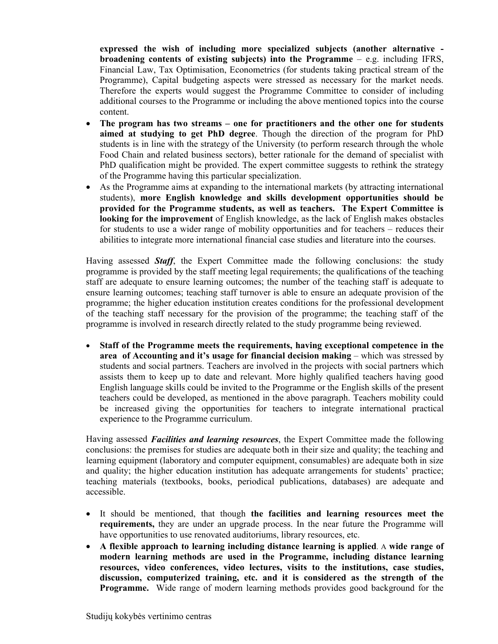**expressed the wish of including more specialized subjects (another alternative broadening contents of existing subjects) into the Programme** – e.g. including IFRS, Financial Law, Tax Optimisation, Econometrics (for students taking practical stream of the Programme), Capital budgeting aspects were stressed as necessary for the market needs. Therefore the experts would suggest the Programme Committee to consider of including additional courses to the Programme or including the above mentioned topics into the course content.

- **The program has two streams one for practitioners and the other one for students aimed at studying to get PhD degree**. Though the direction of the program for PhD students is in line with the strategy of the University (to perform research through the whole Food Chain and related business sectors), better rationale for the demand of specialist with PhD qualification might be provided. The expert committee suggests to rethink the strategy of the Programme having this particular specialization.
- As the Programme aims at expanding to the international markets (by attracting international students), **more English knowledge and skills development opportunities should be provided for the Programme students, as well as teachers. The Expert Committee is looking for the improvement** of English knowledge, as the lack of English makes obstacles for students to use a wider range of mobility opportunities and for teachers – reduces their abilities to integrate more international financial case studies and literature into the courses.

Having assessed *Staff*, the Expert Committee made the following conclusions: the study programme is provided by the staff meeting legal requirements; the qualifications of the teaching staff are adequate to ensure learning outcomes; the number of the teaching staff is adequate to ensure learning outcomes; teaching staff turnover is able to ensure an adequate provision of the programme; the higher education institution creates conditions for the professional development of the teaching staff necessary for the provision of the programme; the teaching staff of the programme is involved in research directly related to the study programme being reviewed.

 **Staff of the Programme meets the requirements, having exceptional competence in the area of Accounting and it's usage for financial decision making** – which was stressed by students and social partners. Teachers are involved in the projects with social partners which assists them to keep up to date and relevant. More highly qualified teachers having good English language skills could be invited to the Programme or the English skills of the present teachers could be developed, as mentioned in the above paragraph. Teachers mobility could be increased giving the opportunities for teachers to integrate international practical experience to the Programme curriculum.

Having assessed *Facilities and learning resources*, the Expert Committee made the following conclusions: the premises for studies are adequate both in their size and quality; the teaching and learning equipment (laboratory and computer equipment, consumables) are adequate both in size and quality; the higher education institution has adequate arrangements for students' practice; teaching materials (textbooks, books, periodical publications, databases) are adequate and accessible.

- It should be mentioned, that though **the facilities and learning resources meet the requirements,** they are under an upgrade process. In the near future the Programme will have opportunities to use renovated auditoriums, library resources, etc.
- **A flexible approach to learning including distance learning is applied**. A **wide range of modern learning methods are used in the Programme, including distance learning resources, video conferences, video lectures, visits to the institutions, case studies, discussion, computerized training, etc. and it is considered as the strength of the Programme.** Wide range of modern learning methods provides good background for the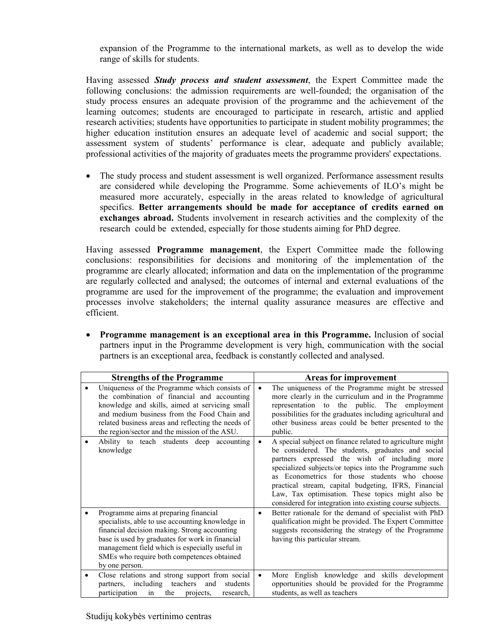expansion of the Programme to the international markets, as well as to develop the wide range of skills for students.

Having assessed *Study process and student assessment*, the Expert Committee made the following conclusions: the admission requirements are well-founded; the organisation of the study process ensures an adequate provision of the programme and the achievement of the learning outcomes; students are encouraged to participate in research, artistic and applied research activities; students have opportunities to participate in student mobility programmes; the higher education institution ensures an adequate level of academic and social support; the assessment system of students' performance is clear, adequate and publicly available; professional activities of the majority of graduates meets the programme providers' expectations.

• The study process and student assessment is well organized. Performance assessment results are considered while developing the Programme. Some achievements of ILO's might be measured more accurately, especially in the areas related to knowledge of agricultural specifics. **Better arrangements should be made for acceptance of credits earned on exchanges abroad.** Students involvement in research activities and the complexity of the research could be extended, especially for those students aiming for PhD degree.

Having assessed **Programme management**, the Expert Committee made the following conclusions: responsibilities for decisions and monitoring of the implementation of the programme are clearly allocated; information and data on the implementation of the programme are regularly collected and analysed; the outcomes of internal and external evaluations of the programme are used for the improvement of the programme; the evaluation and improvement processes involve stakeholders; the internal quality assurance measures are effective and efficient.

 **Programme management is an exceptional area in this Programme.** Inclusion of social partners input in the Programme development is very high, communication with the social partners is an exceptional area, feedback is constantly collected and analysed.

|                                                                                                                                                                                                                                                                                                                | <b>Strengths of the Programme</b>                                                                                                                                                                                                                                                                    | Areas for improvement |                                                                                                                                                                                                                                                                                                                                                                                                                                                      |  |
|----------------------------------------------------------------------------------------------------------------------------------------------------------------------------------------------------------------------------------------------------------------------------------------------------------------|------------------------------------------------------------------------------------------------------------------------------------------------------------------------------------------------------------------------------------------------------------------------------------------------------|-----------------------|------------------------------------------------------------------------------------------------------------------------------------------------------------------------------------------------------------------------------------------------------------------------------------------------------------------------------------------------------------------------------------------------------------------------------------------------------|--|
|                                                                                                                                                                                                                                                                                                                | Uniqueness of the Programme which consists of<br>the combination of financial and accounting<br>knowledge and skills, aimed at servicing small<br>and medium business from the Food Chain and<br>related business areas and reflecting the needs of<br>the region/sector and the mission of the ASU. | $\bullet$             | The uniqueness of the Programme might be stressed<br>more clearly in the curriculum and in the Programme<br>representation to the public. The employment<br>possibilities for the graduates including agricultural and<br>other business areas could be better presented to the<br>public.                                                                                                                                                           |  |
|                                                                                                                                                                                                                                                                                                                | Ability to teach students deep accounting<br>knowledge                                                                                                                                                                                                                                               | $\bullet$             | A special subject on finance related to agriculture might<br>be considered. The students, graduates and social<br>partners expressed the wish of including more<br>specialized subjects/or topics into the Programme such<br>as Econometrics for those students who choose<br>practical stream, capital budgeting, IFRS, Financial<br>Law, Tax optimisation. These topics might also be<br>considered for integration into existing course subjects. |  |
| Programme aims at preparing financial<br>specialists, able to use accounting knowledge in<br>financial decision making. Strong accounting<br>base is used by graduates for work in financial<br>management field which is especially useful in<br>SMEs who require both competences obtained<br>by one person. |                                                                                                                                                                                                                                                                                                      | $\bullet$             | Better rationale for the demand of specialist with PhD<br>qualification might be provided. The Expert Committee<br>suggests reconsidering the strategy of the Programme<br>having this particular stream.                                                                                                                                                                                                                                            |  |
|                                                                                                                                                                                                                                                                                                                | Close relations and strong support from social<br>including teachers<br>students<br>and<br>partners,<br>participation<br>the<br>in<br>projects,<br>research.                                                                                                                                         | $\bullet$             | More English knowledge and skills development<br>opportunities should be provided for the Programme<br>students, as well as teachers                                                                                                                                                                                                                                                                                                                 |  |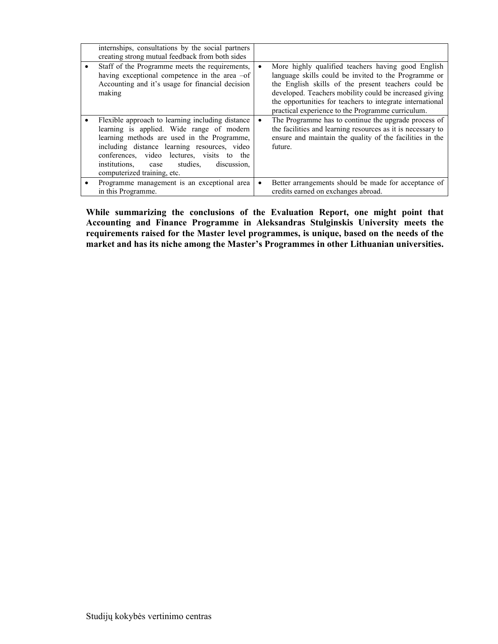| internships, consultations by the social partners<br>creating strong mutual feedback from both sides                                                                                                                                                                                                                       |                                                                                                                                                                                                                                                                                                                                                            |
|----------------------------------------------------------------------------------------------------------------------------------------------------------------------------------------------------------------------------------------------------------------------------------------------------------------------------|------------------------------------------------------------------------------------------------------------------------------------------------------------------------------------------------------------------------------------------------------------------------------------------------------------------------------------------------------------|
| Staff of the Programme meets the requirements,<br>having exceptional competence in the area $-of$<br>Accounting and it's usage for financial decision<br>making                                                                                                                                                            | More highly qualified teachers having good English<br>$\bullet$<br>language skills could be invited to the Programme or<br>the English skills of the present teachers could be<br>developed. Teachers mobility could be increased giving<br>the opportunities for teachers to integrate international<br>practical experience to the Programme curriculum. |
| Flexible approach to learning including distance<br>learning is applied. Wide range of modern<br>learning methods are used in the Programme,<br>including distance learning resources, video<br>conferences, video lectures, visits to the<br>studies.<br>institutions. case<br>discussion.<br>computerized training, etc. | The Programme has to continue the upgrade process of<br>$\bullet$<br>the facilities and learning resources as it is necessary to<br>ensure and maintain the quality of the facilities in the<br>future.                                                                                                                                                    |
| Programme management is an exceptional area<br>in this Programme.                                                                                                                                                                                                                                                          | Better arrangements should be made for acceptance of<br>$\bullet$<br>credits earned on exchanges abroad.                                                                                                                                                                                                                                                   |

**While summarizing the conclusions of the Evaluation Report, one might point that Accounting and Finance Programme in Aleksandras Stulginskis University meets the requirements raised for the Master level programmes, is unique, based on the needs of the market and has its niche among the Master's Programmes in other Lithuanian universities.**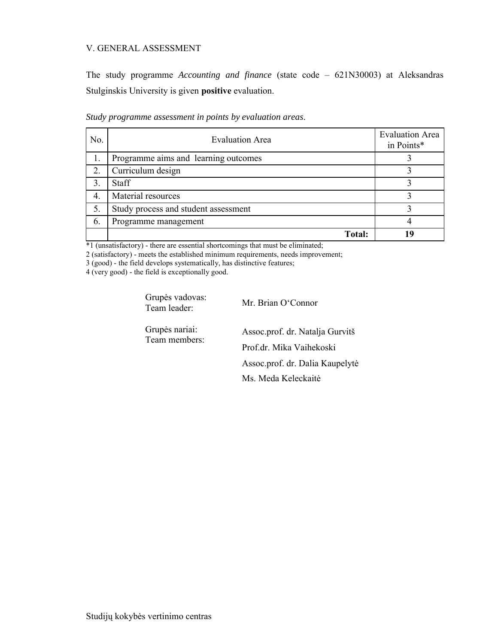#### V. GENERAL ASSESSMENT

The study programme *Accounting and finance* (state code – 621N30003) at Aleksandras Stulginskis University is given **positive** evaluation.

| No. | <b>Evaluation Area</b>               | <b>Evaluation Area</b><br>in Points* |
|-----|--------------------------------------|--------------------------------------|
|     | Programme aims and learning outcomes |                                      |
| 2.  | Curriculum design                    |                                      |
| 3.  | <b>Staff</b>                         |                                      |
| 4.  | Material resources                   |                                      |
| 5.  | Study process and student assessment |                                      |
| 6.  | Programme management                 |                                      |
|     | Total:                               | 1 Q                                  |

*Study programme assessment in points by evaluation areas*.

\*1 (unsatisfactory) - there are essential shortcomings that must be eliminated;

2 (satisfactory) - meets the established minimum requirements, needs improvement;

3 (good) - the field develops systematically, has distinctive features;

4 (very good) - the field is exceptionally good.

Grupės vadovas: Team leader: Mr. Brian O'Connor

Grupės nariai:

Grupės nariai: Assoc.prof. dr. Natalja Gurvitš<br>Team members: Prof.dr. Mika Vaihekoski Assoc.prof. dr. Dalia Kaupelytė Ms. Meda Keleckaitė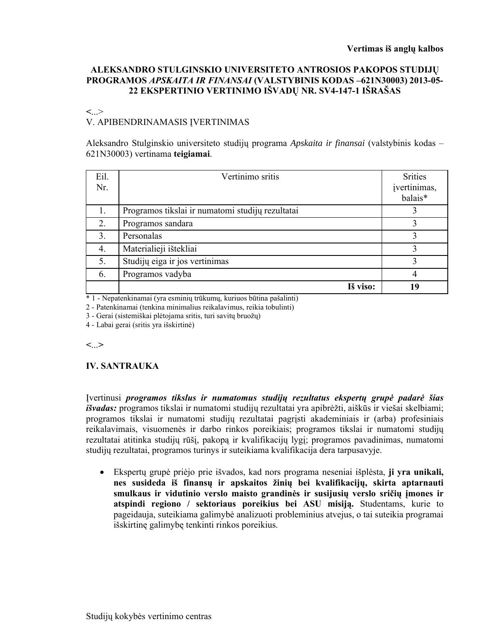### **ALEKSANDRO STULGINSKIO UNIVERSITETO ANTROSIOS PAKOPOS STUDIJŲ PROGRAMOS** *APSKAITA IR FINANSAI* **(VALSTYBINIS KODAS –621N30003) 2013-05- 22 EKSPERTINIO VERTINIMO IŠVADŲ NR. SV4-147-1 IŠRAŠAS**

**<**...>

# V. APIBENDRINAMASIS ĮVERTINIMAS

Aleksandro Stulginskio universiteto studijų programa *Apskaita ir finansai* (valstybinis kodas – 621N30003) vertinama **teigiamai**.

| Eil.<br>Nr.      | Vertinimo sritis                                 | <b>Srities</b><br>įvertinimas,<br>balais* |
|------------------|--------------------------------------------------|-------------------------------------------|
| 1.               | Programos tikslai ir numatomi studijų rezultatai |                                           |
| 2.               | Programos sandara                                | ζ                                         |
| $\overline{3}$ . | Personalas                                       | 3                                         |
| 4.               | Materialieji ištekliai                           | 3                                         |
| 5.               | Studijų eiga ir jos vertinimas                   | ζ                                         |
| 6.               | Programos vadyba                                 | 4                                         |
|                  | Iš viso:                                         | 19                                        |

\* 1 - Nepatenkinamai (yra esminių trūkumų, kuriuos būtina pašalinti)

2 - Patenkinamai (tenkina minimalius reikalavimus, reikia tobulinti)

3 - Gerai (sistemiškai plėtojama sritis, turi savitų bruožų)

4 - Labai gerai (sritis yra išskirtinė)

**<**...**>**

**IV. SANTRAUKA** 

Įvertinusi *programos tikslus ir numatomus studijų rezultatus ekspertų grupė padarė šias išvadas:* programos tikslai ir numatomi studijų rezultatai yra apibrėžti, aiškūs ir viešai skelbiami; programos tikslai ir numatomi studijų rezultatai pagrįsti akademiniais ir (arba) profesiniais reikalavimais, visuomenės ir darbo rinkos poreikiais; programos tikslai ir numatomi studijų rezultatai atitinka studijų rūšį, pakopą ir kvalifikacijų lygį; programos pavadinimas, numatomi studijų rezultatai, programos turinys ir suteikiama kvalifikacija dera tarpusavyje.

 Ekspertų grupė priėjo prie išvados, kad nors programa neseniai išplėsta, **ji yra unikali, nes susideda iš finansų ir apskaitos žinių bei kvalifikacijų, skirta aptarnauti smulkaus ir vidutinio verslo maisto grandinės ir susijusių verslo sričių įmones ir atspindi regiono / sektoriaus poreikius bei ASU misiją.** Studentams, kurie to pageidauja, suteikiama galimybė analizuoti probleminius atvejus, o tai suteikia programai išskirtinę galimybę tenkinti rinkos poreikius.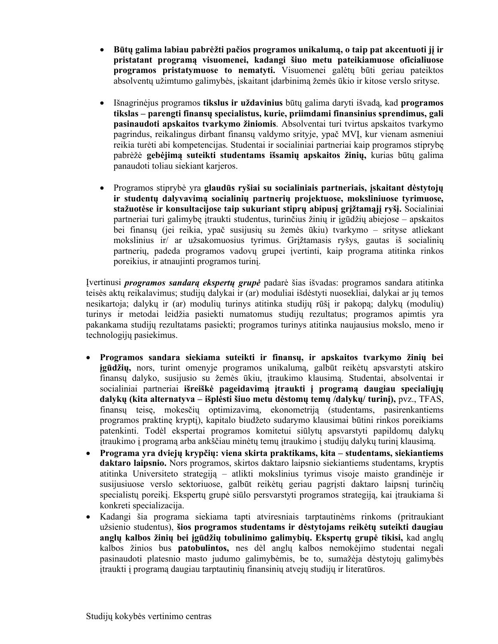- **Būtų galima labiau pabrėžti pačios programos unikalumą, o taip pat akcentuoti jį ir pristatant programą visuomenei, kadangi šiuo metu pateikiamuose oficialiuose programos pristatymuose to nematyti.** Visuomenei galėtų būti geriau pateiktos absolventų užimtumo galimybės, įskaitant įdarbinimą žemės ūkio ir kitose verslo srityse.
- Išnagrinėjus programos **tikslus ir uždavinius** būtų galima daryti išvadą, kad **programos tikslas – parengti finansų specialistus, kurie, priimdami finansinius sprendimus, gali pasinaudoti apskaitos tvarkymo žiniomis**. Absolventai turi tvirtus apskaitos tvarkymo pagrindus, reikalingus dirbant finansų valdymo srityje, ypač MVĮ, kur vienam asmeniui reikia turėti abi kompetencijas. Studentai ir socialiniai partneriai kaip programos stiprybę pabrėžė **gebėjimą suteikti studentams išsamių apskaitos žinių,** kurias būtų galima panaudoti toliau siekiant karjeros.
- Programos stiprybė yra **glaudūs ryšiai su socialiniais partneriais, įskaitant dėstytojų ir studentų dalyvavimą socialinių partnerių projektuose, moksliniuose tyrimuose, stažuotėse ir konsultacijose taip sukuriant stiprų abipusį grįžtamąjį ryšį.** Socialiniai partneriai turi galimybę įtraukti studentus, turinčius žinių ir įgūdžių abiejose – apskaitos bei finansų (jei reikia, ypač susijusių su žemės ūkiu) tvarkymo – srityse atliekant mokslinius ir/ ar užsakomuosius tyrimus. Grįžtamasis ryšys, gautas iš socialinių partnerių, padeda programos vadovų grupei įvertinti, kaip programa atitinka rinkos poreikius, ir atnaujinti programos turinį.

Įvertinusi *programos sandarą ekspertų grupė* padarė šias išvadas: programos sandara atitinka teisės aktų reikalavimus; studijų dalykai ir (ar) moduliai išdėstyti nuosekliai, dalykai ar jų temos nesikartoja; dalykų ir (ar) modulių turinys atitinka studijų rūšį ir pakopą; dalykų (modulių) turinys ir metodai leidžia pasiekti numatomus studijų rezultatus; programos apimtis yra pakankama studijų rezultatams pasiekti; programos turinys atitinka naujausius mokslo, meno ir technologijų pasiekimus.

- **Programos sandara siekiama suteikti ir finansų, ir apskaitos tvarkymo žinių bei įgūdžių,** nors, turint omenyje programos unikalumą, galbūt reikėtų apsvarstyti atskiro finansų dalyko, susijusio su žemės ūkiu, įtraukimo klausimą. Studentai, absolventai ir socialiniai partneriai **išreiškė pageidavimą įtraukti į programą daugiau specialiųjų dalykų (kita alternatyva – išplėsti šiuo metu dėstomų temų /dalykų/ turinį),** pvz., TFAS, finansų teisę, mokesčių optimizavimą, ekonometriją (studentams, pasirenkantiems programos praktinę kryptį), kapitalo biudžeto sudarymo klausimai būtini rinkos poreikiams patenkinti. Todėl ekspertai programos komitetui siūlytų apsvarstyti papildomų dalykų įtraukimo į programą arba ankščiau minėtų temų įtraukimo į studijų dalykų turinį klausimą.
- **Programa yra dviejų krypčių: viena skirta praktikams, kita studentams, siekiantiems daktaro laipsnio.** Nors programos, skirtos daktaro laipsnio siekiantiems studentams, kryptis atitinka Universiteto strategiją – atlikti mokslinius tyrimus visoje maisto grandinėje ir susijusiuose verslo sektoriuose, galbūt reikėtų geriau pagrįsti daktaro laipsnį turinčių specialistų poreikį. Ekspertų grupė siūlo persvarstyti programos strategiją, kai įtraukiama ši konkreti specializacija.
- Kadangi šia programa siekiama tapti atviresniais tarptautinėms rinkoms (pritraukiant užsienio studentus), **šios programos studentams ir dėstytojams reikėtų suteikti daugiau anglų kalbos žinių bei įgūdžių tobulinimo galimybių. Ekspertų grupė tikisi,** kad anglų kalbos žinios bus **patobulintos,** nes dėl anglų kalbos nemokėjimo studentai negali pasinaudoti platesnio masto judumo galimybėmis, be to, sumažėja dėstytojų galimybės įtraukti į programą daugiau tarptautinių finansinių atvejų studijų ir literatūros.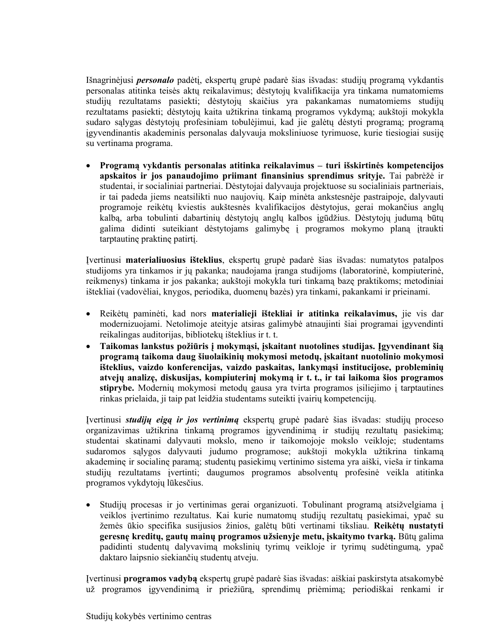Išnagrinėjusi *personalo* padėtį, ekspertų grupė padarė šias išvadas: studijų programą vykdantis personalas atitinka teisės aktų reikalavimus; dėstytojų kvalifikacija yra tinkama numatomiems studijų rezultatams pasiekti; dėstytojų skaičius yra pakankamas numatomiems studijų rezultatams pasiekti; dėstytojų kaita užtikrina tinkamą programos vykdymą; aukštoji mokykla sudaro sąlygas dėstytojų profesiniam tobulėjimui, kad jie galėtų dėstyti programą; programą įgyvendinantis akademinis personalas dalyvauja moksliniuose tyrimuose, kurie tiesiogiai susiję su vertinama programa.

 **Programą vykdantis personalas atitinka reikalavimus – turi išskirtinės kompetencijos apskaitos ir jos panaudojimo priimant finansinius sprendimus srityje.** Tai pabrėžė ir studentai, ir socialiniai partneriai. Dėstytojai dalyvauja projektuose su socialiniais partneriais, ir tai padeda jiems neatsilikti nuo naujovių. Kaip minėta ankstesnėje pastraipoje, dalyvauti programoje reikėtų kviestis aukštesnės kvalifikacijos dėstytojus, gerai mokančius anglų kalbą, arba tobulinti dabartinių dėstytojų anglų kalbos įgūdžius. Dėstytojų judumą būtų galima didinti suteikiant dėstytojams galimybę į programos mokymo planą įtraukti tarptautinę praktinę patirtį.

Įvertinusi **materialiuosius išteklius**, ekspertų grupė padarė šias išvadas: numatytos patalpos studijoms yra tinkamos ir jų pakanka; naudojama įranga studijoms (laboratorinė, kompiuterinė, reikmenys) tinkama ir jos pakanka; aukštoji mokykla turi tinkamą bazę praktikoms; metodiniai ištekliai (vadovėliai, knygos, periodika, duomenų bazės) yra tinkami, pakankami ir prieinami.

- Reikėtų paminėti, kad nors **materialieji ištekliai ir atitinka reikalavimus,** jie vis dar modernizuojami. Netolimoje ateityje atsiras galimybė atnaujinti šiai programai įgyvendinti reikalingas auditorijas, bibliotekų išteklius ir t. t.
- **Taikomas lankstus požiūris į mokymąsi, įskaitant nuotolines studijas. Įgyvendinant šią programą taikoma daug šiuolaikinių mokymosi metodų, įskaitant nuotolinio mokymosi išteklius, vaizdo konferencijas, vaizdo paskaitas, lankymąsi institucijose, probleminių atvejų analizę, diskusijas, kompiuterinį mokymą ir t. t., ir tai laikoma šios programos stiprybe.** Modernių mokymosi metodų gausa yra tvirta programos įsiliejimo į tarptautines rinkas prielaida, ji taip pat leidžia studentams suteikti įvairių kompetencijų.

Įvertinusi *studijų eigą ir jos vertinimą* ekspertų grupė padarė šias išvadas: studijų proceso organizavimas užtikrina tinkamą programos įgyvendinimą ir studijų rezultatų pasiekimą; studentai skatinami dalyvauti mokslo, meno ir taikomojoje mokslo veikloje; studentams sudaromos sąlygos dalyvauti judumo programose; aukštoji mokykla užtikrina tinkamą akademinę ir socialinę paramą; studentų pasiekimų vertinimo sistema yra aiški, vieša ir tinkama studijų rezultatams įvertinti; daugumos programos absolventų profesinė veikla atitinka programos vykdytojų lūkesčius.

 Studijų procesas ir jo vertinimas gerai organizuoti. Tobulinant programą atsižvelgiama į veiklos įvertinimo rezultatus. Kai kurie numatomų studijų rezultatų pasiekimai, ypač su žemės ūkio specifika susijusios žinios, galėtų būti vertinami tiksliau. **Reikėtų nustatyti geresnę kreditų, gautų mainų programos užsienyje metu, įskaitymo tvarką.** Būtų galima padidinti studentų dalyvavimą mokslinių tyrimų veikloje ir tyrimų sudėtingumą, ypač daktaro laipsnio siekiančių studentų atveju.

Įvertinusi **programos vadybą** ekspertų grupė padarė šias išvadas: aiškiai paskirstyta atsakomybė už programos įgyvendinimą ir priežiūrą, sprendimų priėmimą; periodiškai renkami ir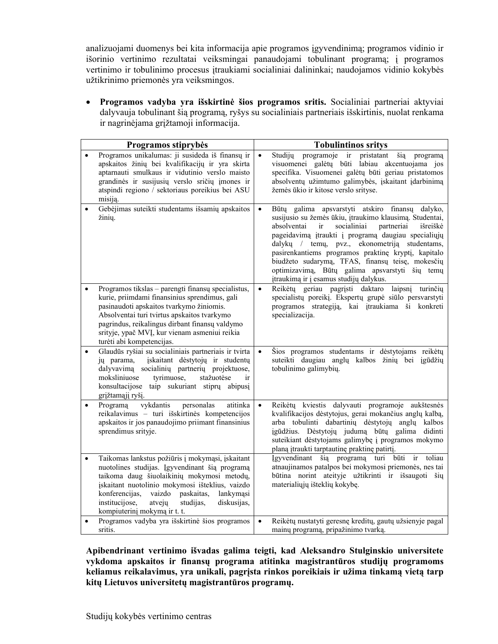analizuojami duomenys bei kita informacija apie programos įgyvendinimą; programos vidinio ir išorinio vertinimo rezultatai veiksmingai panaudojami tobulinant programą; į programos vertinimo ir tobulinimo procesus įtraukiami socialiniai dalininkai; naudojamos vidinio kokybės užtikrinimo priemonės yra veiksmingos.

 **Programos vadyba yra išskirtinė šios programos sritis.** Socialiniai partneriai aktyviai dalyvauja tobulinant šią programą, ryšys su socialiniais partneriais išskirtinis, nuolat renkama ir nagrinėjama grįžtamoji informacija.

| Programos stiprybės                                         |                                                                                                                                                                                                                                                                                                                | <b>Tobulintinos sritys</b> |                                                                                                                                                                                                                                                                                                                                                                                                                                                                                            |
|-------------------------------------------------------------|----------------------------------------------------------------------------------------------------------------------------------------------------------------------------------------------------------------------------------------------------------------------------------------------------------------|----------------------------|--------------------------------------------------------------------------------------------------------------------------------------------------------------------------------------------------------------------------------------------------------------------------------------------------------------------------------------------------------------------------------------------------------------------------------------------------------------------------------------------|
| misiją.                                                     | Programos unikalumas: ji susideda iš finansų ir<br>apskaitos žinių bei kvalifikacijų ir yra skirta<br>aptarnauti smulkaus ir vidutinio verslo maisto<br>grandinės ir susijusių verslo sričių įmones ir<br>atspindi regiono / sektoriaus poreikius bei ASU                                                      | $\bullet$                  | programoje ir pristatant<br>šią<br>Studiju<br>programa<br>visuomenei galėtų būti labiau akcentuojama jos<br>specifika. Visuomenei galėtų būti geriau pristatomos<br>absolventų užimtumo galimybės, įskaitant įdarbinimą<br>žemės ūkio ir kitose verslo srityse.                                                                                                                                                                                                                            |
| $\bullet$<br>žinių.                                         | Gebėjimas suteikti studentams išsamių apskaitos                                                                                                                                                                                                                                                                | $\bullet$                  | Būtų galima apsvarstyti atskiro finansų<br>dalyko,<br>susijusio su žemės ūkiu, įtraukimo klausimą. Studentai,<br>absolventai<br>partneriai<br>ir<br>socialiniai<br>išreiškė<br>pageidavimą įtraukti į programą daugiau specialiųjų<br>dalykų / temų, pvz., ekonometriją studentams,<br>pasirenkantiems programos praktinę kryptį, kapitalo<br>biudžeto sudarymą, TFAS, finansų teisę, mokesčių<br>optimizavimą, Būtų galima apsvarstyti šių temų<br>įtraukimą ir į esamus studijų dalykus. |
| turėti abi kompetencijas.                                   | Programos tikslas - parengti finansų specialistus,<br>kurie, priimdami finansinius sprendimus, gali<br>pasinaudoti apskaitos tvarkymo žiniomis.<br>Absolventai turi tvirtus apskaitos tvarkymo<br>pagrindus, reikalingus dirbant finansų valdymo<br>srityje, ypač MVI, kur vienam asmeniui reikia              | $\bullet$                  | Reikėtų geriau pagrįsti daktaro<br>laipsni<br>turinčiu<br>specialistų poreikį. Ekspertų grupė siūlo persvarstyti<br>programos strategiją, kai įtraukiama ši konkreti<br>specializacija.                                                                                                                                                                                                                                                                                                    |
| $\bullet$<br>jų parama,<br>moksliniuose<br>grįžtamąjį ryšį. | Glaudūs ryšiai su socialiniais partneriais ir tvirta<br>įskaitant dėstytojų ir studentų<br>dalyvavimą socialinių partnerių projektuose,<br>tyrimuose,<br>stažuotėse<br>ir<br>konsultacijose taip sukuriant stiprų abipusį                                                                                      | $\bullet$                  | Šios programos studentams ir dėstytojams reikėtų<br>suteikti daugiau anglų kalbos žinių bei įgūdžių<br>tobulinimo galimybių.                                                                                                                                                                                                                                                                                                                                                               |
| Programą<br>$\bullet$<br>sprendimus srityje.                | vykdantis<br>atitinka<br>personalas<br>reikalavimus - turi išskirtinės kompetencijos<br>apskaitos ir jos panaudojimo priimant finansinius                                                                                                                                                                      | $\bullet$                  | Reikėtų kviestis dalyvauti programoje aukštesnės<br>kvalifikacijos dėstytojus, gerai mokančius anglų kalbą,<br>arba tobulinti dabartinių dėstytojų anglų kalbos<br>įgūdžius. Dėstytojų judumą būtų galima didinti<br>suteikiant dėstytojams galimybę į programos mokymo<br>planą įtraukti tarptautinę praktinę patirtį.                                                                                                                                                                    |
| $\bullet$<br>konferencijas,<br>institucijose,               | Taikomas lankstus požiūris į mokymąsi, įskaitant<br>nuotolines studijas. Įgyvendinant šią programą<br>taikoma daug šiuolaikinių mokymosi metodų,<br>įskaitant nuotolinio mokymosi išteklius, vaizdo<br>vaizdo<br>paskaitas,<br>lankymąsi<br>atvejų<br>studijas,<br>diskusijas,<br>kompiuterinį mokymą ir t. t. |                            | Įgyvendinant šią programą turi<br>būti<br>toliau<br>ir<br>atnaujinamos patalpos bei mokymosi priemonės, nes tai<br>būtina norint ateityje užtikrinti ir išsaugoti šių<br>materialiųjų išteklių kokybę.                                                                                                                                                                                                                                                                                     |
| $\bullet$<br>sritis.                                        | Programos vadyba yra išskirtinė šios programos                                                                                                                                                                                                                                                                 | $\bullet$                  | Reikėtų nustatyti geresnę kreditų, gautų užsienyje pagal<br>mainų programą, pripažinimo tvarką.                                                                                                                                                                                                                                                                                                                                                                                            |

**Apibendrinant vertinimo išvadas galima teigti, kad Aleksandro Stulginskio universitete vykdoma apskaitos ir finansų programa atitinka magistrantūros studijų programoms keliamus reikalavimus, yra unikali, pagrįsta rinkos poreikiais ir užima tinkamą vietą tarp kitų Lietuvos universitetų magistrantūros programų.**